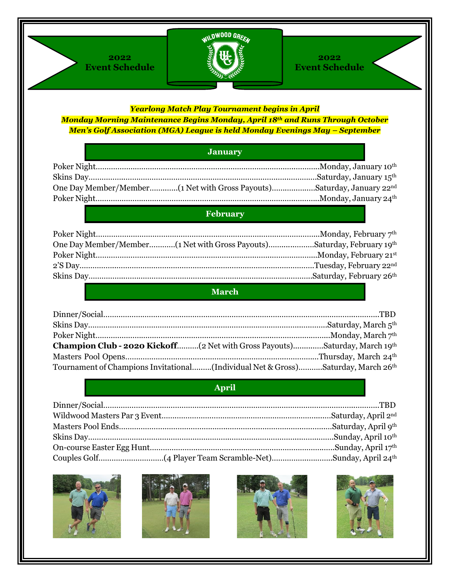



#### **2022 Event Schedule**

#### *Yearlong Match Play Tournament begins in April*

*Monday Morning Maintenance Begins Monday, April 18th and Runs Through October Men's Golf Association (MGA) League is held Monday Evenings May – September*

### **January**

### **February**

| One Day Member/Member [1 Net with Gross Payouts]Saturday, February 19th |  |
|-------------------------------------------------------------------------|--|
|                                                                         |  |
|                                                                         |  |
|                                                                         |  |

### **March**

| Champion Club - 2020 Kickoff(2 Net with Gross Payouts)Saturday, March 19th       |  |
|----------------------------------------------------------------------------------|--|
|                                                                                  |  |
| Tournament of Champions Invitational(Individual Net & Gross)Saturday, March 26th |  |

#### **April**







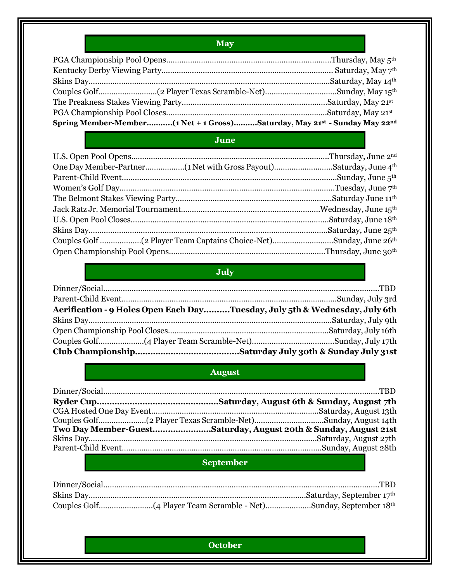## **May**

| Spring Member-Member(1 Net + 1 Gross)Saturday, May 21st - Sunday May 22nd |  |
|---------------------------------------------------------------------------|--|

### **June**

## **July**

| Aerification - 9 Holes Open Each DayTuesday, July 5th & Wednesday, July 6th |  |
|-----------------------------------------------------------------------------|--|
|                                                                             |  |
|                                                                             |  |
|                                                                             |  |
|                                                                             |  |

## **August**

| Two Day Member-GuestSaturday, August 20th & Sunday, August 21st |
|-----------------------------------------------------------------|
|                                                                 |
|                                                                 |

## **September**

## **October**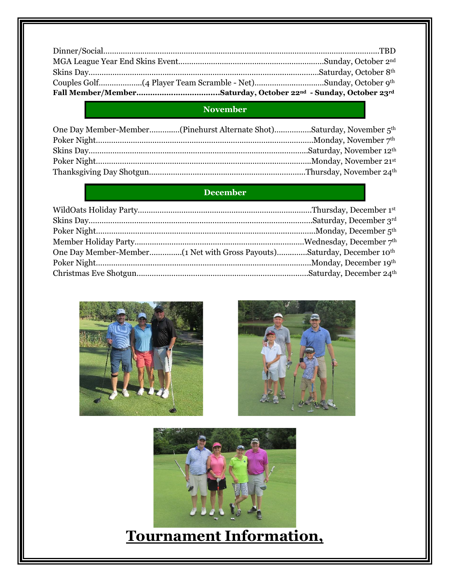## **November**

| One Day Member-Member(Pinehurst Alternate Shot)Saturday, November 5 <sup>th</sup> |  |
|-----------------------------------------------------------------------------------|--|
|                                                                                   |  |
|                                                                                   |  |
|                                                                                   |  |
|                                                                                   |  |

## **December**







# **Tournament Information,**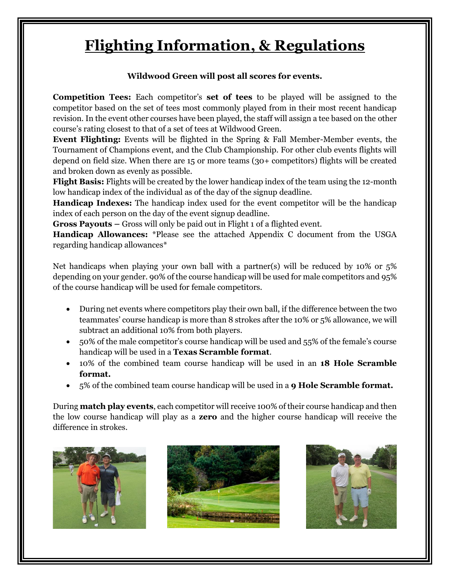# **Flighting Information, & Regulations**

#### **Wildwood Green will post all scores for events.**

**Competition Tees:** Each competitor's **set of tees** to be played will be assigned to the competitor based on the set of tees most commonly played from in their most recent handicap revision. In the event other courses have been played, the staff will assign a tee based on the other course's rating closest to that of a set of tees at Wildwood Green.

**Event Flighting:** Events will be flighted in the Spring & Fall Member-Member events, the Tournament of Champions event, and the Club Championship. For other club events flights will depend on field size. When there are 15 or more teams (30+ competitors) flights will be created and broken down as evenly as possible.

**Flight Basis:** Flights will be created by the lower handicap index of the team using the 12-month low handicap index of the individual as of the day of the signup deadline.

**Handicap Indexes:** The handicap index used for the event competitor will be the handicap index of each person on the day of the event signup deadline.

**Gross Payouts –** Gross will only be paid out in Flight 1 of a flighted event.

**Handicap Allowances:** \*Please see the attached Appendix C document from the USGA regarding handicap allowances\*

Net handicaps when playing your own ball with a partner(s) will be reduced by 10% or 5% depending on your gender. 90% of the course handicap will be used for male competitors and 95% of the course handicap will be used for female competitors.

- During net events where competitors play their own ball, if the difference between the two teammates' course handicap is more than 8 strokes after the 10% or 5% allowance, we will subtract an additional 10% from both players.
- 50% of the male competitor's course handicap will be used and 55% of the female's course handicap will be used in a **Texas Scramble format**.
- 10% of the combined team course handicap will be used in an **18 Hole Scramble format.**
- 5% of the combined team course handicap will be used in a **9 Hole Scramble format.**

During **match play events**, each competitor will receive 100% of their course handicap and then the low course handicap will play as a **zero** and the higher course handicap will receive the difference in strokes.